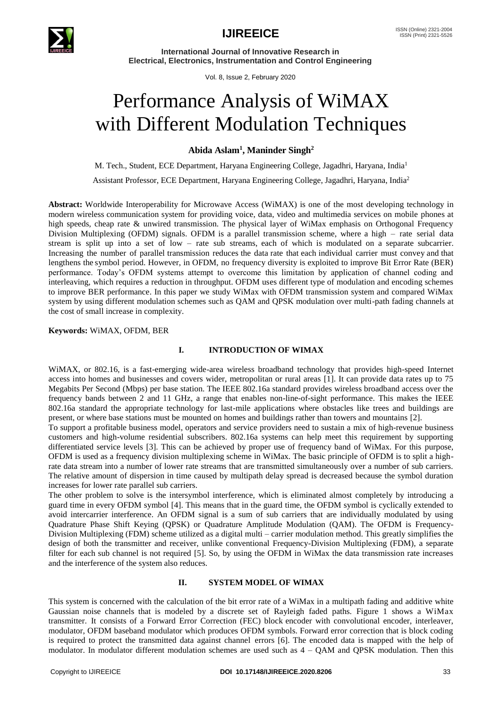

**International Journal of Innovative Research in Electrical, Electronics, Instrumentation and Control Engineering**

Vol. 8, Issue 2, February 2020

# Performance Analysis of WiMAX with Different Modulation Techniques

### **Abida Aslam<sup>1</sup> , Maninder Singh<sup>2</sup>**

M. Tech., Student, ECE Department, Haryana Engineering College, Jagadhri, Haryana, India<sup>1</sup>

Assistant Professor, ECE Department, Haryana Engineering College, Jagadhri, Haryana, India<sup>2</sup>

**Abstract:** Worldwide Interoperability for Microwave Access (WiMAX) is one of the most developing technology in modern wireless communication system for providing voice, data, video and multimedia services on mobile phones at high speeds, cheap rate & unwired transmission. The physical layer of WiMax emphasis on Orthogonal Frequency Division Multiplexing (OFDM) signals. OFDM is a parallel transmission scheme, where a high – rate serial data stream is split up into a set of low – rate sub streams, each of which is modulated on a separate subcarrier. Increasing the number of parallel transmission reduces the data rate that each individual carrier must convey and that lengthens the symbol period. However, in OFDM, no frequency diversity is exploited to improve Bit Error Rate (BER) performance. Today's OFDM systems attempt to overcome this limitation by application of channel coding and interleaving, which requires a reduction in throughput. OFDM uses different type of modulation and encoding schemes to improve BER performance. In this paper we study WiMax with OFDM transmission system and compared WiMax system by using different modulation schemes such as QAM and QPSK modulation over multi-path fading channels at the cost of small increase in complexity.

**Keywords:** WiMAX, OFDM, BER

### **I. INTRODUCTION OF WIMAX**

WiMAX, or 802.16, is a fast-emerging wide-area wireless broadband technology that provides high-speed Internet access into homes and businesses and covers wider, metropolitan or rural areas [1]. It can provide data rates up to 75 Megabits Per Second (Mbps) per base station. The IEEE 802.16a standard provides wireless broadband access over the frequency bands between 2 and 11 GHz, a range that enables non-line-of-sight performance. This makes the IEEE 802.16a standard the appropriate technology for last-mile applications where obstacles like trees and buildings are present, or where base stations must be mounted on homes and buildings rather than towers and mountains [2].

To support a profitable business model, operators and service providers need to sustain a mix of high-revenue business customers and high-volume residential subscribers. 802.16a systems can help meet this requirement by supporting differentiated service levels [3]. This can be achieved by proper use of frequency band of WiMax. For this purpose, OFDM is used as a frequency division multiplexing scheme in WiMax. The basic principle of OFDM is to split a highrate data stream into a number of lower rate streams that are transmitted simultaneously over a number of sub carriers. The relative amount of dispersion in time caused by multipath delay spread is decreased because the symbol duration increases for lower rate parallel sub carriers.

The other problem to solve is the intersymbol interference, which is eliminated almost completely by introducing a guard time in every OFDM symbol [4]. This means that in the guard time, the OFDM symbol is cyclically extended to avoid intercarrier interference. An OFDM signal is a sum of sub carriers that are individually modulated by using Quadrature Phase Shift Keying (QPSK) or Quadrature Amplitude Modulation (QAM). The OFDM is Frequency-Division Multiplexing (FDM) scheme utilized as a digital multi – carrier modulation method. This greatly simplifies the design of both the transmitter and receiver, unlike conventional Frequency-Division Multiplexing (FDM), a separate filter for each sub channel is not required [5]. So, by using the OFDM in WiMax the data transmission rate increases and the interference of the system also reduces.

### **II. SYSTEM MODEL OF WIMAX**

This system is concerned with the calculation of the bit error rate of a WiMax in a multipath fading and additive white Gaussian noise channels that is modeled by a discrete set of Rayleigh faded paths. Figure 1 shows a WiMax transmitter. It consists of a Forward Error Correction (FEC) block encoder with convolutional encoder, interleaver, modulator, OFDM baseband modulator which produces OFDM symbols. Forward error correction that is block coding is required to protect the transmitted data against channel errors [6]. The encoded data is mapped with the help of modulator. In modulator different modulation schemes are used such as 4 – QAM and QPSK modulation. Then this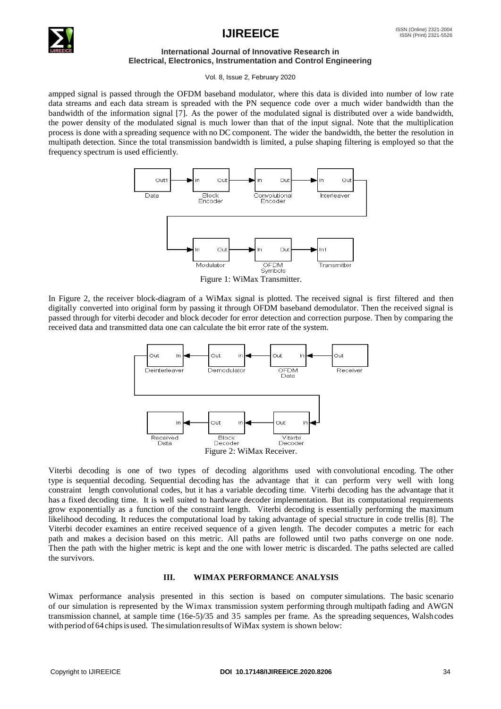



### **International Journal of Innovative Research in Electrical, Electronics, Instrumentation and Control Engineering**

Vol. 8, Issue 2, February 2020

ampped signal is passed through the OFDM baseband modulator, where this data is divided into number of low rate data streams and each data stream is spreaded with the PN sequence code over a much wider bandwidth than the bandwidth of the information signal [7]. As the power of the modulated signal is distributed over a wide bandwidth, the power density of the modulated signal is much lower than that of the input signal. Note that the multiplication process is done with a spreading sequence with no DC component. The wider the bandwidth, the better the resolution in multipath detection. Since the total transmission bandwidth is limited, a pulse shaping filtering is employed so that the frequency spectrum is used efficiently.



Figure 1: WiMax Transmitter.

In Figure 2, the receiver block-diagram of a WiMax signal is plotted. The received signal is first filtered and then digitally converted into original form by passing it through OFDM baseband demodulator. Then the received signal is passed through for viterbi decoder and block decoder for error detection and correction purpose. Then by comparing the received data and transmitted data one can calculate the bit error rate of the system.



Viterbi decoding is one of two types of decoding algorithms used with convolutional encoding. The other type is sequential decoding. Sequential decoding has the advantage that it can perform very well with long constraint length convolutional codes, but it has a variable decoding time. Viterbi decoding has the advantage that it has a fixed decoding time. It is well suited to hardware decoder implementation. But its computational requirements grow exponentially as a function of the constraint length. Viterbi decoding is essentially performing the maximum likelihood decoding. It reduces the computational load by taking advantage of special structure in code trellis [8]. The Viterbi decoder examines an entire received sequence of a given length. The decoder computes a metric for each path and makes a decision based on this metric. All paths are followed until two paths converge on one node. Then the path with the higher metric is kept and the one with lower metric is discarded. The paths selected are called the survivors.

### **III. WIMAX PERFORMANCE ANALYSIS**

Wimax performance analysis presented in this section is based on computer simulations. The basic scenario of our simulation is represented by the Wimax transmission system performing through multipath fading and AWGN transmission channel, at sample time (16e-5)/35 and 35 samples per frame. As the spreading sequences, Walsh codes with period of 64 chips is used. The simulation results of WiMax system is shown below: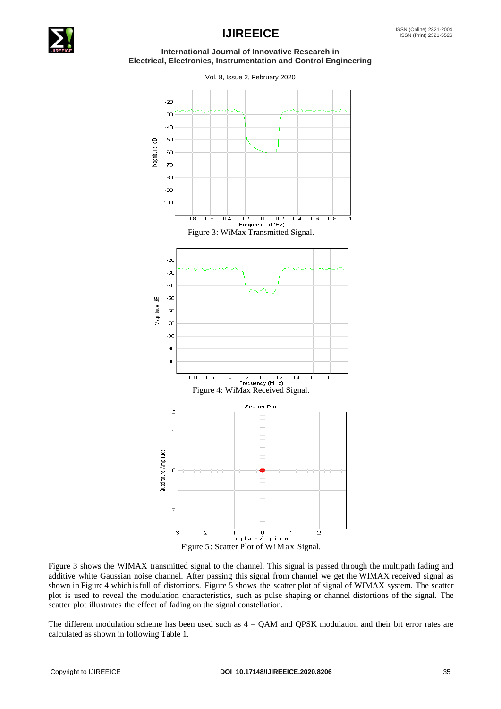

## **IJIREEICE ISSN** (Online) 2321-2004

### **International Journal of Innovative Research in Electrical, Electronics, Instrumentation and Control Engineering**

Vol. 8, Issue 2, February 2020



Figure 3 shows the WIMAX transmitted signal to the channel. This signal is passed through the multipath fading and additive white Gaussian noise channel. After passing this signal from channel we get the WIMAX received signal as shown in Figure 4 which isfull of distortions. Figure 5 shows the scatter plot of signal of WIMAX system. The scatter plot is used to reveal the modulation characteristics, such as pulse shaping or channel distortions of the signal. The scatter plot illustrates the effect of fading on the signal constellation.

The different modulation scheme has been used such as 4 – QAM and QPSK modulation and their bit error rates are calculated as shown in following Table 1.